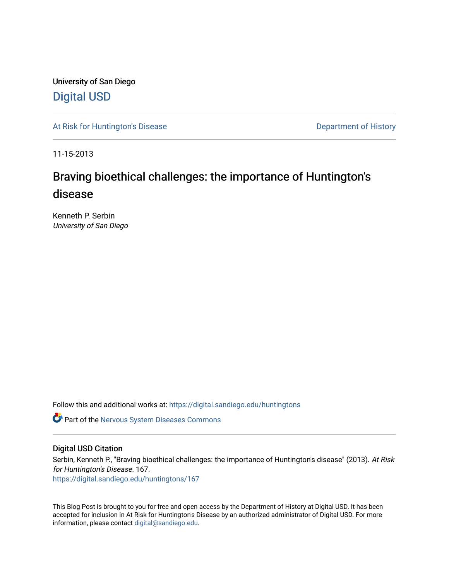University of San Diego [Digital USD](https://digital.sandiego.edu/)

[At Risk for Huntington's Disease](https://digital.sandiego.edu/huntingtons) **Department of History** Department of History

11-15-2013

# Braving bioethical challenges: the importance of Huntington's disease

Kenneth P. Serbin University of San Diego

Follow this and additional works at: [https://digital.sandiego.edu/huntingtons](https://digital.sandiego.edu/huntingtons?utm_source=digital.sandiego.edu%2Fhuntingtons%2F167&utm_medium=PDF&utm_campaign=PDFCoverPages)

**C** Part of the [Nervous System Diseases Commons](http://network.bepress.com/hgg/discipline/928?utm_source=digital.sandiego.edu%2Fhuntingtons%2F167&utm_medium=PDF&utm_campaign=PDFCoverPages)

## Digital USD Citation

Serbin, Kenneth P., "Braving bioethical challenges: the importance of Huntington's disease" (2013). At Risk for Huntington's Disease. 167.

[https://digital.sandiego.edu/huntingtons/167](https://digital.sandiego.edu/huntingtons/167?utm_source=digital.sandiego.edu%2Fhuntingtons%2F167&utm_medium=PDF&utm_campaign=PDFCoverPages)

This Blog Post is brought to you for free and open access by the Department of History at Digital USD. It has been accepted for inclusion in At Risk for Huntington's Disease by an authorized administrator of Digital USD. For more information, please contact [digital@sandiego.edu.](mailto:digital@sandiego.edu)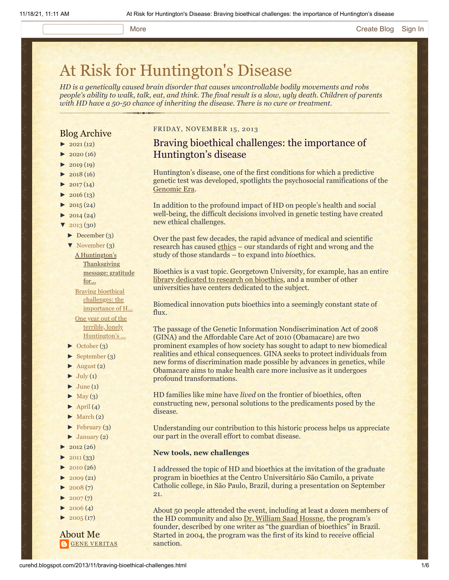#### More **[Create Blog](https://www.blogger.com/home#create) [Sign In](https://www.blogger.com/)**

# [At Risk for Huntington's Disease](http://curehd.blogspot.com/)

*HD is a genetically caused brain disorder that causes uncontrollable bodily movements and robs people's ability to walk, talk, eat, and think. The final result is a slow, ugly death. Children of parents with HD have a 50-50 chance of inheriting the disease. There is no cure or treatment.*

## Blog Archive

- $\blacktriangleright$  [2021](http://curehd.blogspot.com/2021/) (12)
- $2020(16)$  $2020(16)$
- $-2019(19)$  $-2019(19)$  $-2019(19)$
- $\blacktriangleright$  [2018](http://curehd.blogspot.com/2018/) (16)
- $2017(14)$  $2017(14)$
- $2016(13)$  $2016(13)$
- $\blacktriangleright$  [2015](http://curehd.blogspot.com/2015/) (24)
- $\blacktriangleright$  [2014](http://curehd.blogspot.com/2014/) (24)
- [▼](javascript:void(0)) [2013](http://curehd.blogspot.com/2013/) (30)
	- [►](javascript:void(0)) [December](http://curehd.blogspot.com/2013/12/) (3)
	- [▼](javascript:void(0)) [November](http://curehd.blogspot.com/2013/11/) (3) A Huntington's **[Thanksgiving](http://curehd.blogspot.com/2013/11/a-huntingtons-thanksgiving-message.html)** message: gratitude for...

Braving bioethical challenges: the [importance](http://curehd.blogspot.com/2013/11/braving-bioethical-challenges.html) of H... One year out of the terrible, lonely [Huntington's](http://curehd.blogspot.com/2013/11/one-year-out-of-terrible-lonely.html) ...

- [►](javascript:void(0)) [October](http://curehd.blogspot.com/2013/10/) (3)
- [►](javascript:void(0)) [September](http://curehd.blogspot.com/2013/09/) (3)
- $\blacktriangleright$  [August](http://curehd.blogspot.com/2013/08/) (2)
- $\blacktriangleright$  [July](http://curehd.blogspot.com/2013/07/) (1)
- $\blacktriangleright$  [June](http://curehd.blogspot.com/2013/06/) (1)
- $\blacktriangleright$  [May](http://curehd.blogspot.com/2013/05/) (3)
- $\blacktriangleright$  [April](http://curehd.blogspot.com/2013/04/) (4)
- $\blacktriangleright$  [March](http://curehd.blogspot.com/2013/03/) (2)
- $\blacktriangleright$  [February](http://curehd.blogspot.com/2013/02/) (3)
- $\blacktriangleright$  [January](http://curehd.blogspot.com/2013/01/) (2)
- $2012(26)$  $2012(26)$
- $2011(33)$  $2011(33)$
- $\blacktriangleright$  [2010](http://curehd.blogspot.com/2010/) (26)
- $\blacktriangleright$  [2009](http://curehd.blogspot.com/2009/) (21)
- $2008(7)$  $2008(7)$
- $2007(7)$  $2007(7)$
- $2006(4)$  $2006(4)$
- $2005(17)$  $2005(17)$

About Me **GENE [VERITAS](https://www.blogger.com/profile/10911736205741688185)** 

## FRIDAY, NOVEMBER 15, 2013

## Braving bioethical challenges: the importance of Huntington's disease

Huntington's disease, one of the first conditions for which a predictive genetic test was developed, spotlights the psychosocial ramifications of the [Genomic Era](http://www.nejm.org/doi/full/10.1056/NEJMe038132).

In addition to the profound impact of HD on people's health and social well-being, the difficult decisions involved in genetic testing have created new ethical challenges.

Over the past few decades, the rapid advance of medical and scientific research has caused [ethics](http://www.scu.edu/ethics/practicing/decision/whatisethics.html) - our standards of right and wrong and the study of those standards – to expand into *bio*ethics.

Bioethics is a vast topic. Georgetown University, for example, has an entire [library dedicated to research on bioethics,](http://bioethics.georgetown.edu/) and a number of other universities have centers dedicated to the subject.

Biomedical innovation puts bioethics into a seemingly constant state of flux.

The passage of the Genetic Information Nondiscrimination Act of 2008 (GINA) and the Affordable Care Act of 2010 (Obamacare) are two prominent examples of how society has sought to adapt to new biomedical realities and ethical consequences. GINA seeks to protect individuals from new forms of discrimination made possible by advances in genetics, while Obamacare aims to make health care more inclusive as it undergoes profound transformations.

HD families like mine have *lived* on the frontier of bioethics, often constructing new, personal solutions to the predicaments posed by the disease.

Understanding our contribution to this historic process helps us appreciate our part in the overall effort to combat disease.

### **New tools, new challenges**

I addressed the topic of HD and bioethics at the invitation of the graduate program in bioethics at the Centro Universitário São Camilo, a private Catholic college, in São Paulo, Brazil, during a presentation on September 21.

About 50 people attended the event, including at least a dozen members of the HD community and also [Dr. William Saad Hossne,](http://revistapesquisa.fapesp.br/en/2013/09/26/william-saad-hossne-the-guardian-of-bioethics/) the program's founder, described by one writer as "the guardian of bioethics" in Brazil. Started in 2004, the program was the first of its kind to receive official sanction.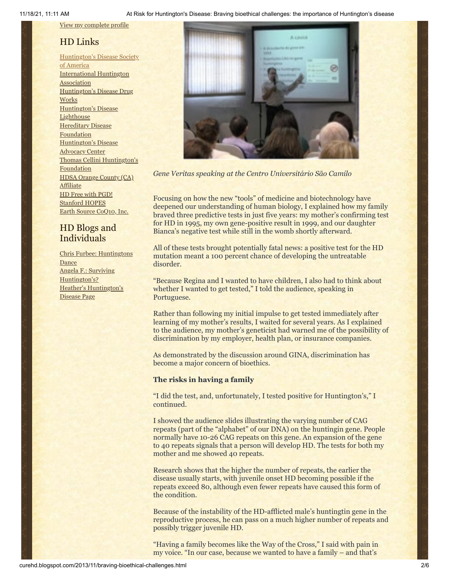View my [complete](https://www.blogger.com/profile/10911736205741688185) profile

## HD Links

[Huntington's](http://www.hdsa.org/) Disease Society of America [International](http://www.huntington-assoc.com/) Huntington **Association** [Huntington's](http://hddrugworks.org/) Disease Drug **Works** [Huntington's](http://www.hdlighthouse.org/) Disease **Lighthouse Hereditary Disease [Foundation](http://www.hdfoundation.org/)** [Huntington's](http://www.hdac.org/) Disease Advocacy Center Thomas [Cellini Huntington's](http://www.ourtchfoundation.org/) **Foundation** HDSA Orange County (CA) [Affiliate](http://www.hdsaoc.org/) HD Free with [PGD!](http://www.hdfreewithpgd.com/) [Stanford](http://www.stanford.edu/group/hopes/) HOPES Earth Source [CoQ10,](http://www.escoq10.com/) Inc.

## HD Blogs and Individuals

Chris Furbee: [Huntingtons](http://www.huntingtonsdance.org/) **Dance** Angela F.: Surviving [Huntington's?](http://survivinghuntingtons.blogspot.com/) Heather's [Huntington's](http://heatherdugdale.angelfire.com/) Disease Page



*Gene Veritas speaking at the Centro Universitário São Camilo*

Focusing on how the new "tools" of medicine and biotechnology have deepened our understanding of human biology, I explained how my family braved three predictive tests in just five years: my mother's confirming test for HD in 1995, my own gene-positive result in 1999, and our daughter Bianca's negative test while still in the womb shortly afterward.

All of these tests brought potentially fatal news: a positive test for the HD mutation meant a 100 percent chance of developing the untreatable disorder.

"Because Regina and I wanted to have children, I also had to think about whether I wanted to get tested," I told the audience, speaking in Portuguese.

Rather than following my initial impulse to get tested immediately after learning of my mother's results, I waited for several years. As I explained to the audience, my mother's geneticist had warned me of the possibility of discrimination by my employer, health plan, or insurance companies.

As demonstrated by the discussion around GINA, discrimination has become a major concern of bioethics.

## **The risks in having a family**

"I did the test, and, unfortunately, I tested positive for Huntington's," I continued.

I showed the audience slides illustrating the varying number of CAG repeats (part of the "alphabet" of our DNA) on the huntingin gene. People normally have 10-26 CAG repeats on this gene. An expansion of the gene to 40 repeats signals that a person will develop HD. The tests for both my mother and me showed 40 repeats.

Research shows that the higher the number of repeats, the earlier the disease usually starts, with juvenile onset HD becoming possible if the repeats exceed 80, although even fewer repeats have caused this form of the condition.

Because of the instability of the HD-afflicted male's huntingtin gene in the reproductive process, he can pass on a much higher number of repeats and possibly trigger juvenile HD.

"Having a family becomes like the Way of the Cross," I said with pain in my voice. "In our case, because we wanted to have a family – and that's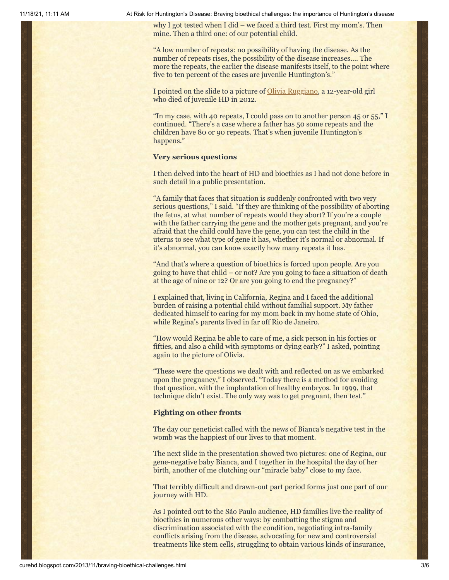11/18/21, 11:11 AM At Risk for Huntington's Disease: Braving bioethical challenges: the importance of Huntington's disease

why I got tested when I did – we faced a third test. First my mom's. Then mine. Then a third one: of our potential child.

"A low number of repeats: no possibility of having the disease. As the number of repeats rises, the possibility of the disease increases…. The more the repeats, the earlier the disease manifests itself, to the point where five to ten percent of the cases are juvenile Huntington's."

I pointed on the slide to a picture of [Olivia Ruggiano](http://curehd.blogspot.com/2012/01/lets-turn-grief-for-hd-angels-into-new.html), a 12-year-old girl who died of juvenile HD in 2012.

"In my case, with 40 repeats, I could pass on to another person 45 or 55," I continued. "There's a case where a father has 50 some repeats and the children have 80 or 90 repeats. That's when juvenile Huntington's happens."

## **Very serious questions**

I then delved into the heart of HD and bioethics as I had not done before in such detail in a public presentation.

"A family that faces that situation is suddenly confronted with two very serious questions," I said. "If they are thinking of the possibility of aborting the fetus, at what number of repeats would they abort? If you're a couple with the father carrying the gene and the mother gets pregnant, and you're afraid that the child could have the gene, you can test the child in the uterus to see what type of gene it has, whether it's normal or abnormal. If it's abnormal, you can know exactly how many repeats it has.

"And that's where a question of bioethics is forced upon people. Are you going to have that child – or not? Are you going to face a situation of death at the age of nine or 12? Or are you going to end the pregnancy?"

I explained that, living in California, Regina and I faced the additional burden of raising a potential child without familial support. My father dedicated himself to caring for my mom back in my home state of Ohio, while Regina's parents lived in far off Rio de Janeiro.

"How would Regina be able to care of me, a sick person in his forties or fifties, and also a child with symptoms or dying early?" I asked, pointing again to the picture of Olivia.

"These were the questions we dealt with and reflected on as we embarked upon the pregnancy," I observed. "Today there is a method for avoiding that question, with the implantation of healthy embryos. In 1999, that technique didn't exist. The only way was to get pregnant, then test."

#### **Fighting on other fronts**

The day our geneticist called with the news of Bianca's negative test in the womb was the happiest of our lives to that moment.

The next slide in the presentation showed two pictures: one of Regina, our gene-negative baby Bianca, and I together in the hospital the day of her birth, another of me clutching our "miracle baby" close to my face.

That terribly difficult and drawn-out part period forms just one part of our journey with HD.

As I pointed out to the São Paulo audience, HD families live the reality of bioethics in numerous other ways: by combatting the stigma and discrimination associated with the condition, negotiating intra-family conflicts arising from the disease, advocating for new and controversial treatments like stem cells, struggling to obtain various kinds of insurance,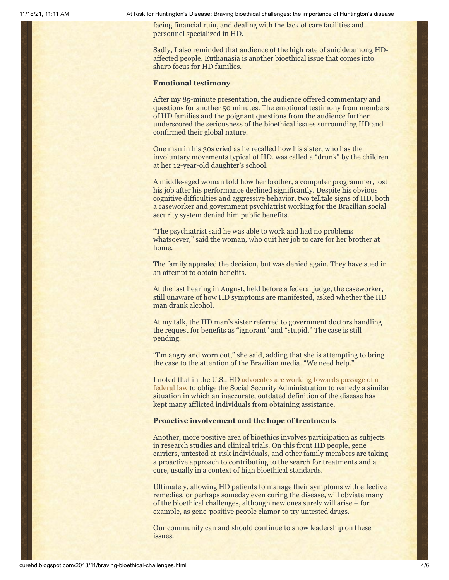11/18/21, 11:11 AM At Risk for Huntington's Disease: Braving bioethical challenges: the importance of Huntington's disease

facing financial ruin, and dealing with the lack of care facilities and personnel specialized in HD.

Sadly, I also reminded that audience of the high rate of suicide among HDaffected people. Euthanasia is another bioethical issue that comes into sharp focus for HD families.

#### **Emotional testimony**

After my 85-minute presentation, the audience offered commentary and questions for another 50 minutes. The emotional testimony from members of HD families and the poignant questions from the audience further underscored the seriousness of the bioethical issues surrounding HD and confirmed their global nature.

One man in his 30s cried as he recalled how his sister, who has the involuntary movements typical of HD, was called a "drunk" by the children at her 12-year-old daughter's school.

A middle-aged woman told how her brother, a computer programmer, lost his job after his performance declined significantly. Despite his obvious cognitive difficulties and aggressive behavior, two telltale signs of HD, both a caseworker and government psychiatrist working for the Brazilian social security system denied him public benefits.

"The psychiatrist said he was able to work and had no problems whatsoever," said the woman, who quit her job to care for her brother at home.

The family appealed the decision, but was denied again. They have sued in an attempt to obtain benefits.

At the last hearing in August, held before a federal judge, the caseworker, still unaware of how HD symptoms are manifested, asked whether the HD man drank alcohol.

At my talk, the HD man's sister referred to government doctors handling the request for benefits as "ignorant" and "stupid." The case is still pending.

"I'm angry and worn out," she said, adding that she is attempting to bring the case to the attention of the Brazilian media. "We need help."

[I noted that in the U.S., HD advocates are working towards passage of a](http://curehd.blogspot.com/2011/04/lets-fix-law-to-help-huntingtons.html) federal law to oblige the Social Security Administration to remedy a similar situation in which an inaccurate, outdated definition of the disease has kept many afflicted individuals from obtaining assistance.

#### **Proactive involvement and the hope of treatments**

Another, more positive area of bioethics involves participation as subjects in research studies and clinical trials. On this front HD people, gene carriers, untested at-risk individuals, and other family members are taking a proactive approach to contributing to the search for treatments and a cure, usually in a context of high bioethical standards.

Ultimately, allowing HD patients to manage their symptoms with effective remedies, or perhaps someday even curing the disease, will obviate many of the bioethical challenges, although new ones surely will arise – for example, as gene-positive people clamor to try untested drugs.

Our community can and should continue to show leadership on these issues.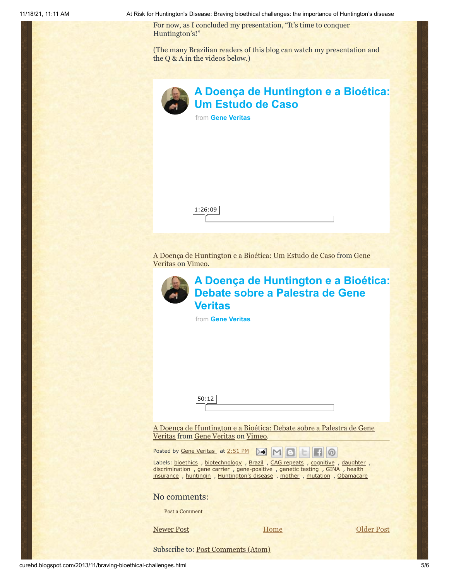11/18/21, 11:11 AM At Risk for Huntington's Disease: Braving bioethical challenges: the importance of Huntington's disease

For now, as I concluded my presentation, "It's time to conquer Huntington's!"

(The many Brazilian readers of this blog can watch my presentation and the Q & A in the videos below.)

| Δ |
|---|
| ш |

## **[A Doença de Huntington e a Bioética:](https://vimeo.com/75940419?embedded=true&source=video_title&owner=6019843) Um Estudo de Caso**

from **[Gene Veritas](https://vimeo.com/user6019843?embedded=true&source=owner_name&owner=6019843)**



[A Doença de Huntington e a Bioética: Um Estudo de Caso from Gene](http://vimeo.com/user6019843) Veritas on [Vimeo](https://vimeo.com/).



## **[A Doença de Huntington e a Bioética:](https://vimeo.com/75954717?embedded=true&source=video_title&owner=6019843) Debate sobre a Palestra de Gene Veritas**

from **[Gene Veritas](https://vimeo.com/user6019843?embedded=true&source=owner_name&owner=6019843)**

50:12

[A Doença de Huntington e a Bioética: Debate sobre a Palestra de Gene](http://vimeo.com/75954717) Veritas from [Gene Veritas](http://vimeo.com/user6019843) on [Vimeo](https://vimeo.com/).

Posted by Gene [Veritas](https://www.blogger.com/profile/03599828959793084715) at [2:51](http://curehd.blogspot.com/2013/11/braving-bioethical-challenges.html) PM  $\sqrt{M}$  M

Labels: [bioethics](http://curehd.blogspot.com/search/label/bioethics) , [biotechnology](http://curehd.blogspot.com/search/label/biotechnology) , [Brazil](http://curehd.blogspot.com/search/label/Brazil) , CAG [repeats](http://curehd.blogspot.com/search/label/CAG%20repeats) , [cognitive](http://curehd.blogspot.com/search/label/cognitive) , [daughter](http://curehd.blogspot.com/search/label/daughter) , [discrimination](http://curehd.blogspot.com/search/label/discrimination) , gene [carrier](http://curehd.blogspot.com/search/label/gene%20carrier) , [gene-positive](http://curehd.blogspot.com/search/label/gene-positive) , [genetic](http://curehd.blogspot.com/search/label/genetic%20testing) testing , [GINA](http://curehd.blogspot.com/search/label/GINA) , health insurance , [huntingin](http://curehd.blogspot.com/search/label/huntingin) , [Huntington's](http://curehd.blogspot.com/search/label/Huntington%27s%20disease) disease , [mother](http://curehd.blogspot.com/search/label/mother) , [mutation](http://curehd.blogspot.com/search/label/mutation) , [Obamacare](http://curehd.blogspot.com/search/label/Obamacare)

## No comments:

Post a [Comment](https://www.blogger.com/comment.g?blogID=10081281&postID=4773216776146843340&isPopup=true)

[Home](http://curehd.blogspot.com/)

[Newer Post](http://curehd.blogspot.com/2013/11/a-huntingtons-thanksgiving-message.html) **Dividends Home [Older Post](http://curehd.blogspot.com/2013/11/one-year-out-of-terrible-lonely.html)** 

∞

Subscribe to: [Post Comments \(Atom\)](http://curehd.blogspot.com/feeds/4773216776146843340/comments/default)